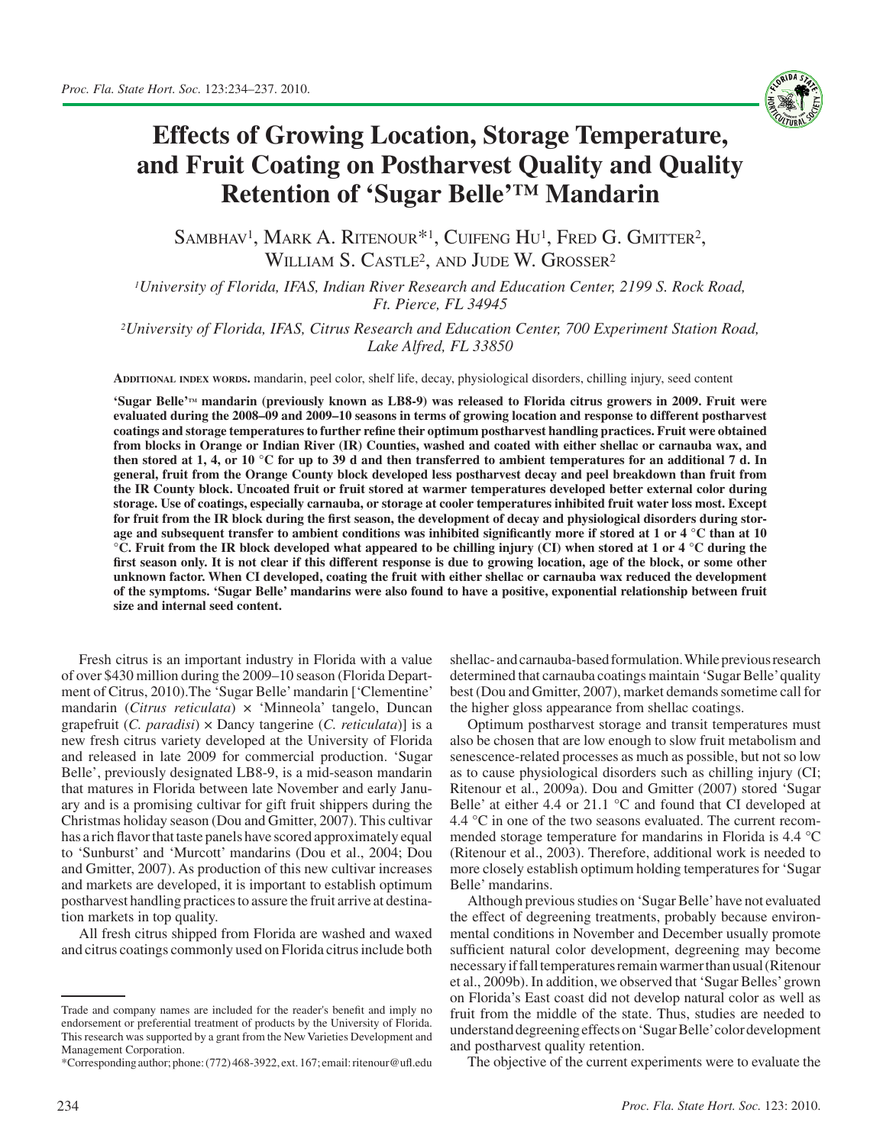

## **Effects of Growing Location, Storage Temperature, and Fruit Coating on Postharvest Quality and Quality Retention of 'Sugar Belle'™ Mandarin**

SAMBHAV<sup>1</sup>, MARK A. RITENOUR<sup>\*1</sup>, CUIFENG HU<sup>1</sup>, FRED G. GMITTER<sup>2</sup>, WILLIAM S. CASTLE<sup>2</sup>, AND JUDE W. GROSSER<sup>2</sup>

*1University of Florida, IFAS, Indian River Research and Education Center, 2199 S. Rock Road, Ft. Pierce, FL 34945*

*2University of Florida, IFAS, Citrus Research and Education Center, 700 Experiment Station Road, Lake Alfred, FL 33850*

**Additional index words.** mandarin, peel color, shelf life, decay, physiological disorders, chilling injury, seed content

**'Sugar Belle'tm mandarin (previously known as LB8-9) was released to Florida citrus growers in 2009. Fruit were evaluated during the 2008–09 and 2009–10 seasons in terms of growing location and response to different postharvest coatings and storage temperatures to further refine their optimum postharvest handling practices. Fruit were obtained from blocks in Orange or Indian River (IR) Counties, washed and coated with either shellac or carnauba wax, and then stored at 1, 4, or 10 °C for up to 39 d and then transferred to ambient temperatures for an additional 7 d. In general, fruit from the Orange County block developed less postharvest decay and peel breakdown than fruit from the IR County block. Uncoated fruit or fruit stored at warmer temperatures developed better external color during storage. Use of coatings, especially carnauba, or storage at cooler temperatures inhibited fruit water loss most. Except for fruit from the IR block during the first season, the development of decay and physiological disorders during storage and subsequent transfer to ambient conditions was inhibited significantly more if stored at 1 or 4 °C than at 10 °C. Fruit from the IR block developed what appeared to be chilling injury (CI) when stored at 1 or 4 °C during the first season only. It is not clear if this different response is due to growing location, age of the block, or some other unknown factor. When CI developed, coating the fruit with either shellac or carnauba wax reduced the development of the symptoms. 'Sugar Belle' mandarins were also found to have a positive, exponential relationship between fruit size and internal seed content.** 

Fresh citrus is an important industry in Florida with a value of over \$430 million during the 2009–10 season (Florida Department of Citrus, 2010).The 'Sugar Belle' mandarin ['Clementine' mandarin (*Citrus reticulata*) × 'Minneola' tangelo, Duncan grapefruit (*C. paradisi*) × Dancy tangerine (*C. reticulata*)] is a new fresh citrus variety developed at the University of Florida and released in late 2009 for commercial production. 'Sugar Belle', previously designated LB8-9, is a mid-season mandarin that matures in Florida between late November and early January and is a promising cultivar for gift fruit shippers during the Christmas holiday season (Dou and Gmitter, 2007). This cultivar has a rich flavor that taste panels have scored approximately equal to 'Sunburst' and 'Murcott' mandarins (Dou et al., 2004; Dou and Gmitter, 2007). As production of this new cultivar increases and markets are developed, it is important to establish optimum postharvest handling practices to assure the fruit arrive at destination markets in top quality.

All fresh citrus shipped from Florida are washed and waxed and citrus coatings commonly used on Florida citrus include both shellac- and carnauba-based formulation. While previous research determined that carnauba coatings maintain 'Sugar Belle' quality best (Dou and Gmitter, 2007), market demands sometime call for the higher gloss appearance from shellac coatings.

Optimum postharvest storage and transit temperatures must also be chosen that are low enough to slow fruit metabolism and senescence-related processes as much as possible, but not so low as to cause physiological disorders such as chilling injury (CI; Ritenour et al., 2009a). Dou and Gmitter (2007) stored 'Sugar Belle' at either 4.4 or 21.1 °C and found that CI developed at 4.4 °C in one of the two seasons evaluated. The current recommended storage temperature for mandarins in Florida is 4.4 °C (Ritenour et al., 2003). Therefore, additional work is needed to more closely establish optimum holding temperatures for 'Sugar Belle' mandarins.

Although previous studies on 'Sugar Belle' have not evaluated the effect of degreening treatments, probably because environmental conditions in November and December usually promote sufficient natural color development, degreening may become necessary if fall temperatures remain warmer than usual (Ritenour et al., 2009b). In addition, we observed that 'Sugar Belles' grown on Florida's East coast did not develop natural color as well as fruit from the middle of the state. Thus, studies are needed to understand degreening effects on 'Sugar Belle' color development and postharvest quality retention.

The objective of the current experiments were to evaluate the

Trade and company names are included for the reader's benefit and imply no endorsement or preferential treatment of products by the University of Florida. This research was supported by a grant from the New Varieties Development and Management Corporation.

<sup>\*</sup>Corresponding author; phone: (772) 468-3922, ext. 167; email: ritenour@ufl.edu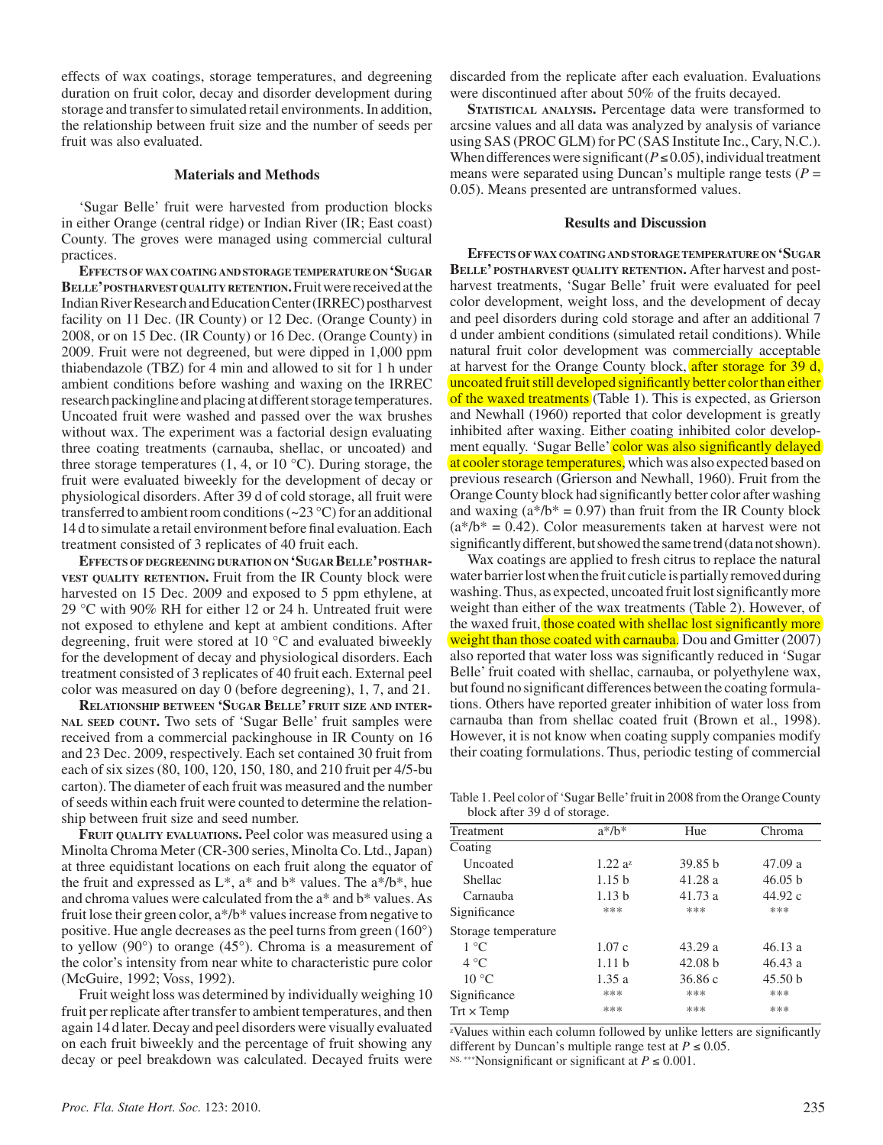effects of wax coatings, storage temperatures, and degreening duration on fruit color, decay and disorder development during storage and transfer to simulated retail environments. In addition, the relationship between fruit size and the number of seeds per fruit was also evaluated.

## **Materials and Methods**

'Sugar Belle' fruit were harvested from production blocks in either Orange (central ridge) or Indian River (IR; East coast) County. The groves were managed using commercial cultural practices.

**Effects ofwax coating and storagetemperature on 'Sugar Belle' postharvest quality retention.**Fruit were received at the Indian River Research and Education Center (IRREC) postharvest facility on 11 Dec. (IR County) or 12 Dec. (Orange County) in 2008, or on 15 Dec. (IR County) or 16 Dec. (Orange County) in 2009. Fruit were not degreened, but were dipped in 1,000 ppm thiabendazole (TBZ) for 4 min and allowed to sit for 1 h under ambient conditions before washing and waxing on the IRREC research packingline and placing at different storage temperatures. Uncoated fruit were washed and passed over the wax brushes without wax. The experiment was a factorial design evaluating three coating treatments (carnauba, shellac, or uncoated) and three storage temperatures  $(1, 4, \text{or } 10 \degree \text{C})$ . During storage, the fruit were evaluated biweekly for the development of decay or physiological disorders. After 39 d of cold storage, all fruit were transferred to ambient room conditions  $(\sim 23 \text{ °C})$  for an additional 14 d to simulate a retail environment before final evaluation. Each treatment consisted of 3 replicates of 40 fruit each.

**Effects of degreening duration on 'Sugar Belle' postharvest quality retention.** Fruit from the IR County block were harvested on 15 Dec. 2009 and exposed to 5 ppm ethylene, at 29 °C with 90% RH for either 12 or 24 h. Untreated fruit were not exposed to ethylene and kept at ambient conditions. After degreening, fruit were stored at 10 °C and evaluated biweekly for the development of decay and physiological disorders. Each treatment consisted of 3 replicates of 40 fruit each. External peel color was measured on day 0 (before degreening), 1, 7, and 21.

**Relationship between 'Sugar Belle' fruit size and internal seed count.** Two sets of 'Sugar Belle' fruit samples were received from a commercial packinghouse in IR County on 16 and 23 Dec. 2009, respectively. Each set contained 30 fruit from each of six sizes (80, 100, 120, 150, 180, and 210 fruit per 4/5-bu carton). The diameter of each fruit was measured and the number of seeds within each fruit were counted to determine the relationship between fruit size and seed number.

**Fruit quality evaluations.** Peel color was measured using a Minolta Chroma Meter (CR-300 series, Minolta Co. Ltd., Japan) at three equidistant locations on each fruit along the equator of the fruit and expressed as  $L^*$ ,  $a^*$  and  $b^*$  values. The  $a^*/b^*$ , hue and chroma values were calculated from the a\* and b\* values. As fruit lose their green color, a\*/b\* values increase from negative to positive. Hue angle decreases as the peel turns from green (160°) to yellow (90°) to orange (45°). Chroma is a measurement of the color's intensity from near white to characteristic pure color (McGuire, 1992; Voss, 1992).

Fruit weight loss was determined by individually weighing 10 fruit per replicate after transfer to ambient temperatures, and then again 14 d later. Decay and peel disorders were visually evaluated on each fruit biweekly and the percentage of fruit showing any decay or peel breakdown was calculated. Decayed fruits were

discarded from the replicate after each evaluation. Evaluations were discontinued after about 50% of the fruits decayed.

STATISTICAL ANALYSIS. Percentage data were transformed to arcsine values and all data was analyzed by analysis of variance using SAS (PROC GLM) for PC (SAS Institute Inc., Cary, N.C.). When differences were significant ( $P \le 0.05$ ), individual treatment means were separated using Duncan's multiple range tests  $(P =$ 0.05). Means presented are untransformed values.

## **Results and Discussion**

**Effects ofwax coating and storagetemperature on 'Sugar Belle' postharvest quality retention.** After harvest and postharvest treatments, 'Sugar Belle' fruit were evaluated for peel color development, weight loss, and the development of decay and peel disorders during cold storage and after an additional 7 d under ambient conditions (simulated retail conditions). While natural fruit color development was commercially acceptable at harvest for the Orange County block, after storage for 39 d, uncoated fruit still developed significantly better color than either of the waxed treatments (Table 1). This is expected, as Grierson and Newhall (1960) reported that color development is greatly inhibited after waxing. Either coating inhibited color development equally. 'Sugar Belle' color was also significantly delayed at cooler storage temperatures, which was also expected based on previous research (Grierson and Newhall, 1960). Fruit from the Orange County block had significantly better color after washing and waxing  $(a^*/b^* = 0.97)$  than fruit from the IR County block  $(a*/b* = 0.42)$ . Color measurements taken at harvest were not significantly different, but showed the same trend (data not shown).

Wax coatings are applied to fresh citrus to replace the natural water barrier lost when the fruit cuticle is partially removed during washing. Thus, as expected, uncoated fruit lost significantly more weight than either of the wax treatments (Table 2). However, of the waxed fruit, those coated with shellac lost significantly more weight than those coated with carnauba. Dou and Gmitter (2007) also reported that water loss was significantly reduced in 'Sugar Belle' fruit coated with shellac, carnauba, or polyethylene wax, but found no significant differences between the coating formulations. Others have reported greater inhibition of water loss from carnauba than from shellac coated fruit (Brown et al., 1998). However, it is not know when coating supply companies modify their coating formulations. Thus, periodic testing of commercial

Table 1. Peel color of 'Sugar Belle' fruit in 2008 from the Orange County block after 39 d of storage.

| Treatment           | $a^*/b^*$         | Hue     | Chroma             |
|---------------------|-------------------|---------|--------------------|
| Coating             |                   |         |                    |
| Uncoated            | $1.22 a^2$        | 39.85 h | 47.09 a            |
| Shellac             | 1.15 <sub>b</sub> | 41.28a  | 46.05 b            |
| Carnauba            | 1.13h             | 41.73a  | 44.92 c            |
| Significance        | ***               | ***     | ***                |
| Storage temperature |                   |         |                    |
| $1^{\circ}C$        | 1.07c             | 43.29a  | 46.13a             |
| $4^{\circ}C$        | 1.11h             | 42.08 h | 46.43a             |
| $10^{\circ}$ C      | 1.35a             | 36.86c  | 45.50 <sub>b</sub> |
| Significance        | ***               | ***     | ***                |
| $Trt \times Temp$   | ***               | ***     | ***                |

zValues within each column followed by unlike letters are significantly different by Duncan's multiple range test at  $P \le 0.05$ . <sup>NS, \*\*\*</sup>Nonsignificant or significant at  $P \le 0.001$ .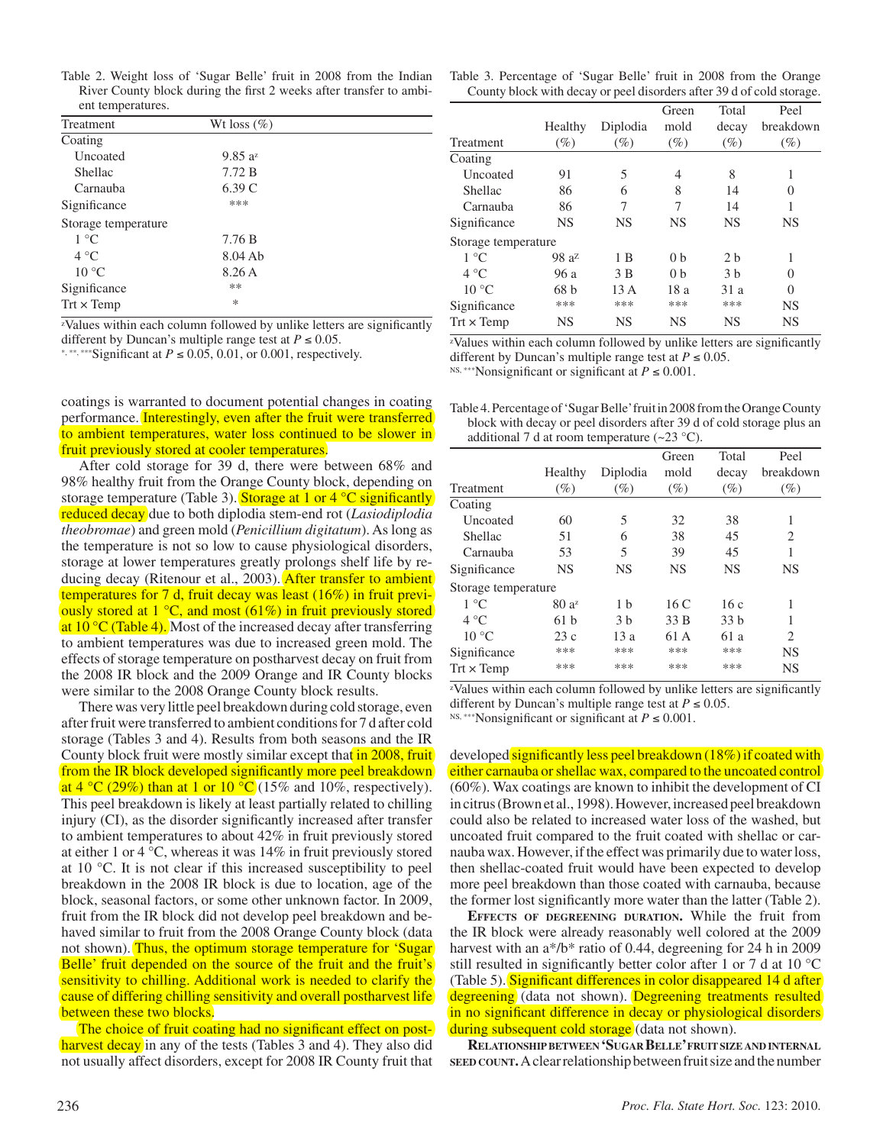| Table 2. Weight loss of 'Sugar Belle' fruit in 2008 from the Indian |                   |                                                                     |  |  |  |
|---------------------------------------------------------------------|-------------------|---------------------------------------------------------------------|--|--|--|
|                                                                     |                   | River County block during the first 2 weeks after transfer to ambi- |  |  |  |
|                                                                     | ent temperatures. |                                                                     |  |  |  |

| Treatment           | Wt loss $(\%)$      |  |
|---------------------|---------------------|--|
| Coating             |                     |  |
| Uncoated            | 9.85 a <sup>z</sup> |  |
| Shellac             | 7.72 B              |  |
| Carnauba            | 6.39C               |  |
| Significance        | ***                 |  |
| Storage temperature |                     |  |
| $1^{\circ}C$        | 7.76B               |  |
| 4 °C                | $8.04$ Ab           |  |
| $10^{\circ}$ C      | 8.26 A              |  |
| Significance        | **                  |  |
| $Trt \times Temp$   | *                   |  |

zValues within each column followed by unlike letters are significantly different by Duncan's multiple range test at  $P \le 0.05$ .

\*, \*\*\*, \*\*\*Significant at  $P \le 0.05$ , 0.01, or 0.001, respectively.

coatings is warranted to document potential changes in coating performance. Interestingly, even after the fruit were transferred to ambient temperatures, water loss continued to be slower in fruit previously stored at cooler temperatures.

After cold storage for 39 d, there were between 68% and 98% healthy fruit from the Orange County block, depending on storage temperature (Table 3). Storage at 1 or 4 °C significantly reduced decay due to both diplodia stem-end rot (*Lasiodiplodia theobromae*) and green mold (*Penicillium digitatum*). As long as the temperature is not so low to cause physiological disorders, storage at lower temperatures greatly prolongs shelf life by reducing decay (Ritenour et al., 2003). After transfer to ambient temperatures for 7 d, fruit decay was least (16%) in fruit previously stored at  $1 \degree C$ , and most (61%) in fruit previously stored at  $10^{\circ}$ C (Table 4). Most of the increased decay after transferring to ambient temperatures was due to increased green mold. The effects of storage temperature on postharvest decay on fruit from the 2008 IR block and the 2009 Orange and IR County blocks were similar to the 2008 Orange County block results.

There was very little peel breakdown during cold storage, even after fruit were transferred to ambient conditions for 7 d after cold storage (Tables 3 and 4). Results from both seasons and the IR County block fruit were mostly similar except that in 2008, fruit from the IR block developed significantly more peel breakdown at 4 °C (29%) than at 1 or 10 °C (15% and 10%, respectively). This peel breakdown is likely at least partially related to chilling injury (CI), as the disorder significantly increased after transfer to ambient temperatures to about 42% in fruit previously stored at either 1 or 4 °C, whereas it was 14% in fruit previously stored at 10 °C. It is not clear if this increased susceptibility to peel breakdown in the 2008 IR block is due to location, age of the block, seasonal factors, or some other unknown factor. In 2009, fruit from the IR block did not develop peel breakdown and behaved similar to fruit from the 2008 Orange County block (data not shown). Thus, the optimum storage temperature for 'Sugar Belle' fruit depended on the source of the fruit and the fruit's sensitivity to chilling. Additional work is needed to clarify the cause of differing chilling sensitivity and overall postharvest life between these two blocks.

The choice of fruit coating had no significant effect on postharvest decay in any of the tests (Tables 3 and 4). They also did not usually affect disorders, except for 2008 IR County fruit that

| Table 3. Percentage of 'Sugar Belle' fruit in 2008 from the Orange |                                                                       |  |  |  |
|--------------------------------------------------------------------|-----------------------------------------------------------------------|--|--|--|
|                                                                    | County block with decay or peel disorders after 39 d of cold storage. |  |  |  |

|                     |           |           | Green          | Total          | Peel      |
|---------------------|-----------|-----------|----------------|----------------|-----------|
|                     | Healthy   | Diplodia  | mold           | decay          | breakdown |
| Treatment           | $(\%)$    | $(\%)$    | $(\%)$         | $(\%)$         | $(\%)$    |
| Coating             |           |           |                |                |           |
| Uncoated            | 91        | 5         | 4              | 8              | 1         |
| Shellac             | 86        | 6         | 8              | 14             | $\theta$  |
| Carnauba            | 86        | 7         | 7              | 14             |           |
| Significance        | <b>NS</b> | <b>NS</b> | <b>NS</b>      | <b>NS</b>      | <b>NS</b> |
| Storage temperature |           |           |                |                |           |
| $1^{\circ}C$        | $98a^2$   | 1 B       | 0 <sub>b</sub> | 2 <sub>b</sub> | 1         |
| $4^{\circ}C$        | 96 a      | 3B        | 0 <sub>b</sub> | 3 <sub>b</sub> | 0         |
| $10^{\circ}$ C      | 68 h      | 13 A      | 18 a           | 31a            | $\Omega$  |
| Significance        | ***       | ***       | ***            | ***            | <b>NS</b> |
| $Trt \times Temp$   | <b>NS</b> | <b>NS</b> | <b>NS</b>      | <b>NS</b>      | <b>NS</b> |

zValues within each column followed by unlike letters are significantly different by Duncan's multiple range test at  $P \le 0.05$ .

NS, \*\*\*Nonsignificant or significant at *P* ≤ 0.001.

Table 4. Percentage of 'Sugar Belle' fruit in 2008 from the Orange County block with decay or peel disorders after 39 d of cold storage plus an additional 7 d at room temperature  $(\sim 23 \text{ °C})$ .

|                     |           |                | Green     | Total     | Peel           |
|---------------------|-----------|----------------|-----------|-----------|----------------|
|                     | Healthy   | Diplodia       | mold      | decay     | breakdown      |
| Treatment           | $(\%)$    | $(\%)$         | $(\%)$    | $(\%)$    | $(\%)$         |
| Coating             |           |                |           |           |                |
| <b>Uncoated</b>     | 60        | 5              | 32        | 38        | 1              |
| Shellac             | 51        | 6              | 38        | 45        | 2              |
| Carnauba            | 53        | 5              | 39        | 45        | 1              |
| Significance        | <b>NS</b> | <b>NS</b>      | <b>NS</b> | <b>NS</b> | <b>NS</b>      |
| Storage temperature |           |                |           |           |                |
| $1^{\circ}C$        | $80a^2$   | 1 <sub>h</sub> | 16C       | 16c       | 1              |
| $4^{\circ}C$        | 61h       | 3 <sub>b</sub> | 33 B      | 33 b      | 1              |
| $10^{\circ}$ C      | 23c       | 13a            | 61 A      | 61 a      | $\mathfrak{D}$ |
| Significance        | ***       | ***            | ***       | ***       | NS             |
| $Trt \times Temp$   | ***       | ***            | ***       | ***       | NS             |

zValues within each column followed by unlike letters are significantly different by Duncan's multiple range test at  $P \le 0.05$ .

NS, \*\*\*Nonsignificant or significant at *P* ≤ 0.001.

developed significantly less peel breakdown (18%) if coated with either carnauba or shellac wax, compared to the uncoated control (60%). Wax coatings are known to inhibit the development of CI in citrus (Brown et al., 1998). However, increased peel breakdown could also be related to increased water loss of the washed, but uncoated fruit compared to the fruit coated with shellac or carnauba wax. However, if the effect was primarily due to water loss, then shellac-coated fruit would have been expected to develop more peel breakdown than those coated with carnauba, because the former lost significantly more water than the latter (Table 2).

**Effects of degreening duration.** While the fruit from the IR block were already reasonably well colored at the 2009 harvest with an a\*/b\* ratio of 0.44, degreening for 24 h in 2009 still resulted in significantly better color after 1 or 7 d at 10 °C (Table 5). Significant differences in color disappeared 14 d after degreening (data not shown). Degreening treatments resulted in no significant difference in decay or physiological disorders during subsequent cold storage (data not shown).

**Relationshipbetween 'Sugar Belle' fruitsize and internal seed count.** A clear relationship between fruit size and the number